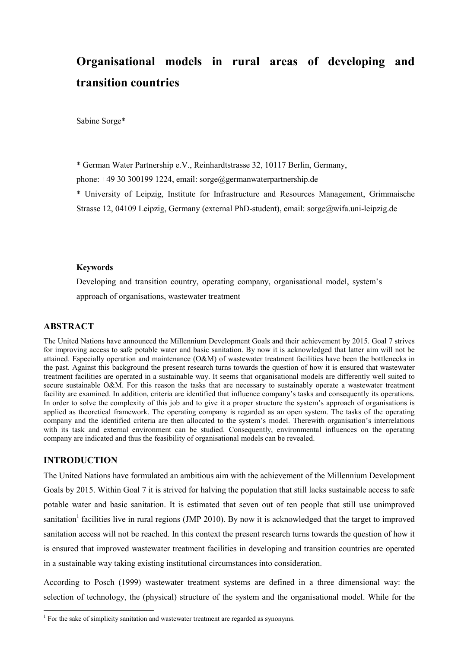# **Organisational models in rural areas of developing and transition countries**

Sabine Sorge\*

\* German Water Partnership e.V., Reinhardtstrasse 32, 10117 Berlin, Germany,

phone: +49 30 300199 1224, email: sorge@germanwaterpartnership.de

\* University of Leipzig, Institute for Infrastructure and Resources Management, Grimmaische Strasse 12, 04109 Leipzig, Germany (external PhD-student), email: sorge@wifa.uni-leipzig.de

#### **Keywords**

Developing and transition country, operating company, organisational model, system's approach of organisations, wastewater treatment

## **ABSTRACT**

The United Nations have announced the Millennium Development Goals and their achievement by 2015. Goal 7 strives for improving access to safe potable water and basic sanitation. By now it is acknowledged that latter aim will not be attained. Especially operation and maintenance (O&M) of wastewater treatment facilities have been the bottlenecks in the past. Against this background the present research turns towards the question of how it is ensured that wastewater treatment facilities are operated in a sustainable way. It seems that organisational models are differently well suited to secure sustainable O&M. For this reason the tasks that are necessary to sustainably operate a wastewater treatment facility are examined. In addition, criteria are identified that influence company's tasks and consequently its operations. In order to solve the complexity of this job and to give it a proper structure the system's approach of organisations is applied as theoretical framework. The operating company is regarded as an open system. The tasks of the operating company and the identified criteria are then allocated to the system's model. Therewith organisation's interrelations with its task and external environment can be studied. Consequently, environmental influences on the operating company are indicated and thus the feasibility of organisational models can be revealed.

## **INTRODUCTION**

The United Nations have formulated an ambitious aim with the achievement of the Millennium Development Goals by 2015. Within Goal 7 it is strived for halving the population that still lacks sustainable access to safe potable water and basic sanitation. It is estimated that seven out of ten people that still use unimproved sanitation<sup>1</sup> facilities live in rural regions (JMP 2010). By now it is acknowledged that the target to improved sanitation access will not be reached. In this context the present research turns towards the question of how it is ensured that improved wastewater treatment facilities in developing and transition countries are operated in a sustainable way taking existing institutional circumstances into consideration.

According to Posch (1999) wastewater treatment systems are defined in a three dimensional way: the selection of technology, the (physical) structure of the system and the organisational model. While for the

<sup>&</sup>lt;sup>1</sup> For the sake of simplicity sanitation and wastewater treatment are regarded as synonyms.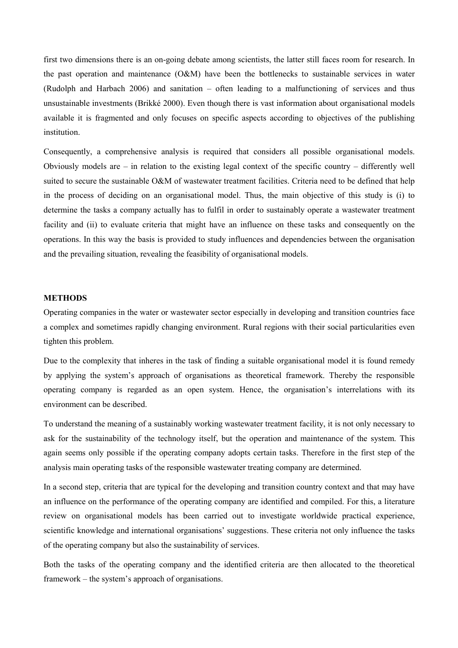first two dimensions there is an on-going debate among scientists, the latter still faces room for research. In the past operation and maintenance (O&M) have been the bottlenecks to sustainable services in water (Rudolph and Harbach 2006) and sanitation – often leading to a malfunctioning of services and thus unsustainable investments (Brikké 2000). Even though there is vast information about organisational models available it is fragmented and only focuses on specific aspects according to objectives of the publishing institution.

Consequently, a comprehensive analysis is required that considers all possible organisational models. Obviously models are – in relation to the existing legal context of the specific country – differently well suited to secure the sustainable O&M of wastewater treatment facilities. Criteria need to be defined that help in the process of deciding on an organisational model. Thus, the main objective of this study is (i) to determine the tasks a company actually has to fulfil in order to sustainably operate a wastewater treatment facility and (ii) to evaluate criteria that might have an influence on these tasks and consequently on the operations. In this way the basis is provided to study influences and dependencies between the organisation and the prevailing situation, revealing the feasibility of organisational models.

#### **METHODS**

Operating companies in the water or wastewater sector especially in developing and transition countries face a complex and sometimes rapidly changing environment. Rural regions with their social particularities even tighten this problem.

Due to the complexity that inheres in the task of finding a suitable organisational model it is found remedy by applying the system's approach of organisations as theoretical framework. Thereby the responsible operating company is regarded as an open system. Hence, the organisation's interrelations with its environment can be described.

To understand the meaning of a sustainably working wastewater treatment facility, it is not only necessary to ask for the sustainability of the technology itself, but the operation and maintenance of the system. This again seems only possible if the operating company adopts certain tasks. Therefore in the first step of the analysis main operating tasks of the responsible wastewater treating company are determined.

In a second step, criteria that are typical for the developing and transition country context and that may have an influence on the performance of the operating company are identified and compiled. For this, a literature review on organisational models has been carried out to investigate worldwide practical experience, scientific knowledge and international organisations' suggestions. These criteria not only influence the tasks of the operating company but also the sustainability of services.

Both the tasks of the operating company and the identified criteria are then allocated to the theoretical framework – the system's approach of organisations.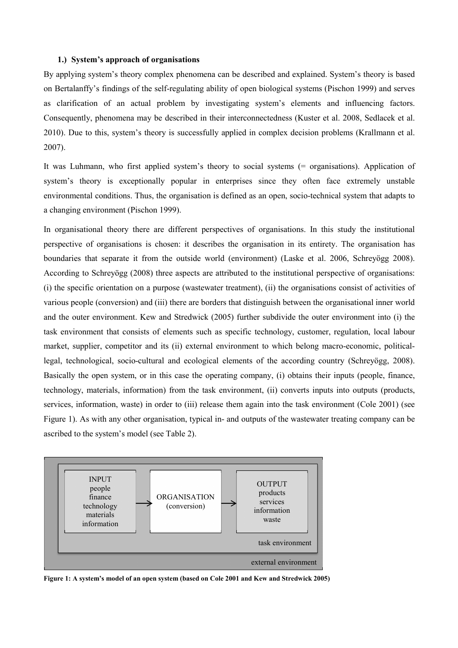#### **1.) System's approach of organisations**

By applying system's theory complex phenomena can be described and explained. System's theory is based on Bertalanffy's findings of the self-regulating ability of open biological systems (Pischon 1999) and serves as clarification of an actual problem by investigating system's elements and influencing factors. Consequently, phenomena may be described in their interconnectedness (Kuster et al. 2008, Sedlacek et al. 2010). Due to this, system's theory is successfully applied in complex decision problems (Krallmann et al. 2007).

It was Luhmann, who first applied system's theory to social systems (= organisations). Application of system's theory is exceptionally popular in enterprises since they often face extremely unstable environmental conditions. Thus, the organisation is defined as an open, socio-technical system that adapts to a changing environment (Pischon 1999).

In organisational theory there are different perspectives of organisations. In this study the institutional perspective of organisations is chosen: it describes the organisation in its entirety. The organisation has boundaries that separate it from the outside world (environment) (Laske et al. 2006, Schreyögg 2008). According to Schreyögg (2008) three aspects are attributed to the institutional perspective of organisations: (i) the specific orientation on a purpose (wastewater treatment), (ii) the organisations consist of activities of various people (conversion) and (iii) there are borders that distinguish between the organisational inner world and the outer environment. Kew and Stredwick (2005) further subdivide the outer environment into (i) the task environment that consists of elements such as specific technology, customer, regulation, local labour market, supplier, competitor and its (ii) external environment to which belong macro-economic, politicallegal, technological, socio-cultural and ecological elements of the according country (Schreyögg, 2008). Basically the open system, or in this case the operating company, (i) obtains their inputs (people, finance, technology, materials, information) from the task environment, (ii) converts inputs into outputs (products, services, information, waste) in order to (iii) release them again into the task environment (Cole 2001) (see Figure 1). As with any other organisation, typical in- and outputs of the wastewater treating company can be ascribed to the system's model (see Table 2).



**Figure 1: A system's model of an open system (based on Cole 2001 and Kew and Stredwick 2005)**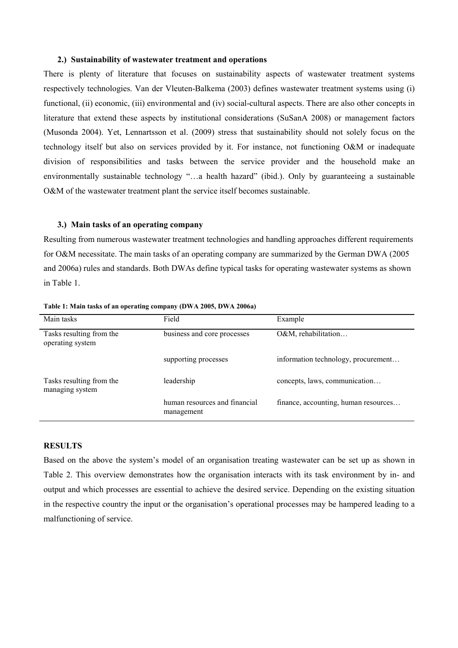#### **2.) Sustainability of wastewater treatment and operations**

There is plenty of literature that focuses on sustainability aspects of wastewater treatment systems respectively technologies. Van der Vleuten-Balkema (2003) defines wastewater treatment systems using (i) functional, (ii) economic, (iii) environmental and (iv) social-cultural aspects. There are also other concepts in literature that extend these aspects by institutional considerations (SuSanA 2008) or management factors (Musonda 2004). Yet, Lennartsson et al. (2009) stress that sustainability should not solely focus on the technology itself but also on services provided by it. For instance, not functioning O&M or inadequate division of responsibilities and tasks between the service provider and the household make an environmentally sustainable technology "...a health hazard" (ibid.). Only by guaranteeing a sustainable O&M of the wastewater treatment plant the service itself becomes sustainable.

### **3.) Main tasks of an operating company**

Resulting from numerous wastewater treatment technologies and handling approaches different requirements for O&M necessitate. The main tasks of an operating company are summarized by the German DWA (2005 and 2006a) rules and standards. Both DWAs define typical tasks for operating wastewater systems as shown in Table 1.

| Main tasks                                   | Field                                       | Example                              |  |  |
|----------------------------------------------|---------------------------------------------|--------------------------------------|--|--|
| Tasks resulting from the<br>operating system | business and core processes                 | O&M, rehabilitation                  |  |  |
|                                              | supporting processes                        | information technology, procurement  |  |  |
| Tasks resulting from the<br>managing system  | leadership                                  | concepts, laws, communication        |  |  |
|                                              | human resources and financial<br>management | finance, accounting, human resources |  |  |

**Table 1: Main tasks of an operating company (DWA 2005, DWA 2006a)** 

## **RESULTS**

Based on the above the system's model of an organisation treating wastewater can be set up as shown in Table 2. This overview demonstrates how the organisation interacts with its task environment by in- and output and which processes are essential to achieve the desired service. Depending on the existing situation in the respective country the input or the organisation's operational processes may be hampered leading to a malfunctioning of service.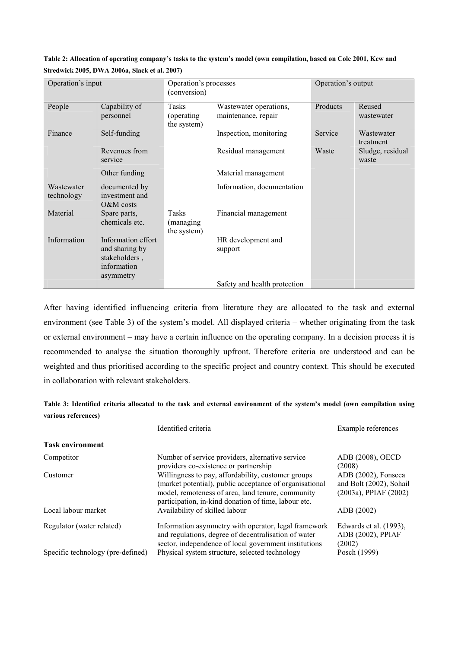| Operation's input        |                                                                                   | Operation's processes<br>(conversion)      |                                               | Operation's output |                           |  |
|--------------------------|-----------------------------------------------------------------------------------|--------------------------------------------|-----------------------------------------------|--------------------|---------------------------|--|
| People                   | Capability of<br>personnel                                                        | <b>Tasks</b><br>(operating)<br>the system) | Wastewater operations,<br>maintenance, repair | Products           | Reused<br>wastewater      |  |
| Finance                  | Self-funding                                                                      |                                            | Inspection, monitoring                        | Service            | Wastewater<br>treatment   |  |
|                          | Revenues from<br>service                                                          |                                            | Residual management                           | Waste              | Sludge, residual<br>waste |  |
|                          | Other funding                                                                     |                                            | Material management                           |                    |                           |  |
| Wastewater<br>technology | documented by<br>investment and<br>$O&M$ costs                                    |                                            | Information, documentation                    |                    |                           |  |
| Material                 | Spare parts,<br>chemicals etc.                                                    | Tasks<br>(managing)<br>the system)         | Financial management                          |                    |                           |  |
| Information              | Information effort<br>and sharing by<br>stakeholders,<br>information<br>asymmetry |                                            | HR development and<br>support                 |                    |                           |  |
|                          |                                                                                   |                                            | Safety and health protection                  |                    |                           |  |

**Table 2: Allocation of operating company's tasks to the system's model (own compilation, based on Cole 2001, Kew and Stredwick 2005, DWA 2006a, Slack et al. 2007)** 

After having identified influencing criteria from literature they are allocated to the task and external environment (see Table 3) of the system's model. All displayed criteria – whether originating from the task or external environment – may have a certain influence on the operating company. In a decision process it is recommended to analyse the situation thoroughly upfront. Therefore criteria are understood and can be weighted and thus prioritised according to the specific project and country context. This should be executed in collaboration with relevant stakeholders.

| Table 3: Identified criteria allocated to the task and external environment of the system's model (own compilation using |  |  |  |  |  |  |
|--------------------------------------------------------------------------------------------------------------------------|--|--|--|--|--|--|
| various references)                                                                                                      |  |  |  |  |  |  |

|                                   | Identified criteria                                                                                                                                                                                                        | Example references                                                      |
|-----------------------------------|----------------------------------------------------------------------------------------------------------------------------------------------------------------------------------------------------------------------------|-------------------------------------------------------------------------|
| <b>Task environment</b>           |                                                                                                                                                                                                                            |                                                                         |
| Competitor                        | Number of service providers, alternative service<br>providers co-existence or partnership                                                                                                                                  | ADB (2008), OECD<br>(2008)                                              |
| Customer                          | Willingness to pay, affordability, customer groups<br>(market potential), public acceptance of organisational<br>model, remoteness of area, land tenure, community<br>participation, in-kind donation of time, labour etc. | ADB (2002), Fonseca<br>and Bolt (2002), Sohail<br>(2003a), PPIAF (2002) |
| Local labour market               | Availability of skilled labour                                                                                                                                                                                             | ADB (2002)                                                              |
| Regulator (water related)         | Information asymmetry with operator, legal framework<br>and regulations, degree of decentralisation of water<br>sector, independence of local government institutions                                                      | Edwards et al. (1993),<br>ADB (2002), PPIAF<br>(2002)                   |
| Specific technology (pre-defined) | Physical system structure, selected technology                                                                                                                                                                             | Posch (1999)                                                            |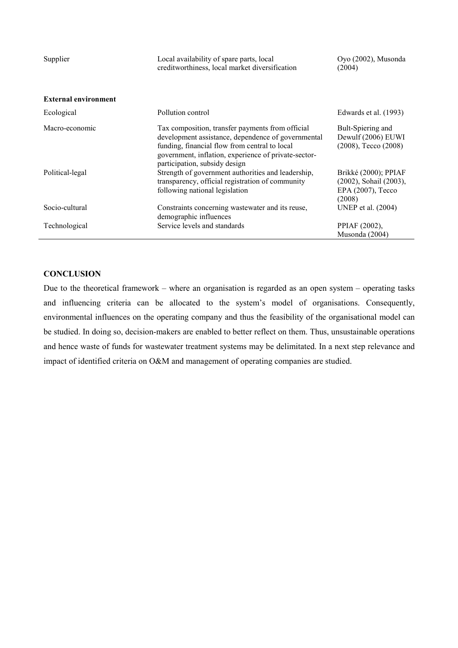| Supplier                    | Local availability of spare parts, local<br>creditworthiness, local market diversification                                                                                                                                                       | Oyo (2002), Musonda<br>(2004)                                                 |  |
|-----------------------------|--------------------------------------------------------------------------------------------------------------------------------------------------------------------------------------------------------------------------------------------------|-------------------------------------------------------------------------------|--|
| <b>External environment</b> |                                                                                                                                                                                                                                                  |                                                                               |  |
| Ecological                  | Pollution control                                                                                                                                                                                                                                | Edwards et al. (1993)                                                         |  |
| Macro-economic              | Tax composition, transfer payments from official<br>development assistance, dependence of governmental<br>funding, financial flow from central to local<br>government, inflation, experience of private-sector-<br>participation, subsidy design | Bult-Spiering and<br>Dewulf (2006) EUWI<br>$(2008)$ , Tecco $(2008)$          |  |
| Political-legal             | Strength of government authorities and leadership,<br>transparency, official registration of community<br>following national legislation                                                                                                         | Brikké (2000); PPIAF<br>(2002), Sohail (2003),<br>EPA (2007), Tecco<br>(2008) |  |
| Socio-cultural              | Constraints concerning wastewater and its reuse,<br>demographic influences                                                                                                                                                                       | UNEP et al. (2004)                                                            |  |
| Technological               | Service levels and standards                                                                                                                                                                                                                     | PPIAF (2002),<br>Musonda (2004)                                               |  |

## **CONCLUSION**

Due to the theoretical framework – where an organisation is regarded as an open system – operating tasks and influencing criteria can be allocated to the system's model of organisations. Consequently, environmental influences on the operating company and thus the feasibility of the organisational model can be studied. In doing so, decision-makers are enabled to better reflect on them. Thus, unsustainable operations and hence waste of funds for wastewater treatment systems may be delimitated. In a next step relevance and impact of identified criteria on O&M and management of operating companies are studied.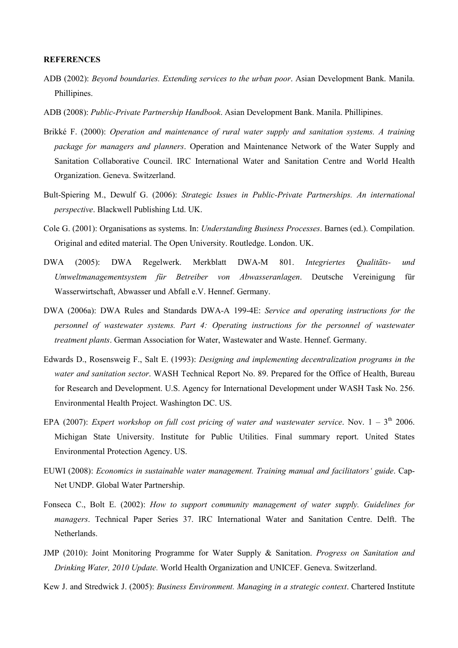#### **REFERENCES**

- ADB (2002): *Beyond boundaries. Extending services to the urban poor*. Asian Development Bank. Manila. Phillipines.
- ADB (2008): *Public-Private Partnership Handbook*. Asian Development Bank. Manila. Phillipines.
- Brikké F. (2000): *Operation and maintenance of rural water supply and sanitation systems. A training package for managers and planners*. Operation and Maintenance Network of the Water Supply and Sanitation Collaborative Council. IRC International Water and Sanitation Centre and World Health Organization. Geneva. Switzerland.
- Bult-Spiering M., Dewulf G. (2006): *Strategic Issues in Public-Private Partnerships. An international perspective*. Blackwell Publishing Ltd. UK.
- Cole G. (2001): Organisations as systems. In: *Understanding Business Processes*. Barnes (ed.). Compilation. Original and edited material. The Open University. Routledge. London. UK.
- DWA (2005): DWA Regelwerk. Merkblatt DWA-M 801. *Integriertes Qualitäts- und Umweltmanagementsystem für Betreiber von Abwasseranlagen*. Deutsche Vereinigung für Wasserwirtschaft, Abwasser und Abfall e.V. Hennef. Germany.
- DWA (2006a): DWA Rules and Standards DWA-A 199-4E: *Service and operating instructions for the personnel of wastewater systems. Part 4: Operating instructions for the personnel of wastewater treatment plants*. German Association for Water, Wastewater and Waste. Hennef. Germany.
- Edwards D., Rosensweig F., Salt E. (1993): *Designing and implementing decentralization programs in the water and sanitation sector*. WASH Technical Report No. 89. Prepared for the Office of Health, Bureau for Research and Development. U.S. Agency for International Development under WASH Task No. 256. Environmental Health Project. Washington DC. US.
- EPA (2007): *Expert workshop on full cost pricing of water and wastewater service*. Nov.  $1 3<sup>th</sup>$  2006. Michigan State University. Institute for Public Utilities. Final summary report. United States Environmental Protection Agency. US.
- EUWI (2008): *Economics in sustainable water management. Training manual and facilitators' guide*. Cap-Net UNDP. Global Water Partnership.
- Fonseca C., Bolt E. (2002): *How to support community management of water supply. Guidelines for managers*. Technical Paper Series 37. IRC International Water and Sanitation Centre. Delft. The Netherlands.
- JMP (2010): Joint Monitoring Programme for Water Supply & Sanitation. *Progress on Sanitation and Drinking Water, 2010 Update.* World Health Organization and UNICEF. Geneva. Switzerland.
- Kew J. and Stredwick J. (2005): *Business Environment. Managing in a strategic context*. Chartered Institute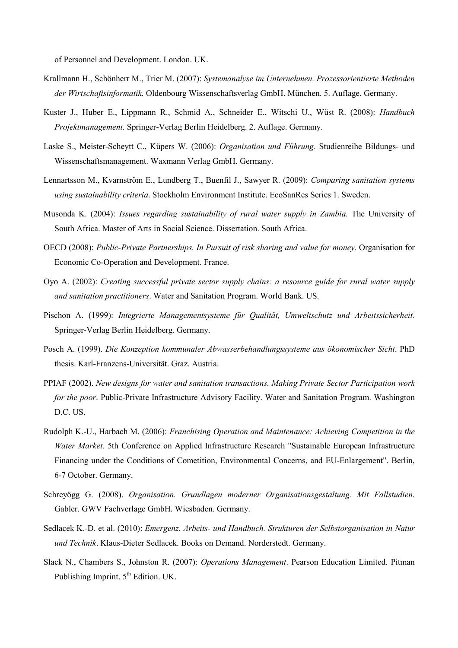of Personnel and Development. London. UK.

- Krallmann H., Schönherr M., Trier M. (2007): *Systemanalyse im Unternehmen. Prozessorientierte Methoden der Wirtschaftsinformatik.* Oldenbourg Wissenschaftsverlag GmbH. München. 5. Auflage. Germany.
- Kuster J., Huber E., Lippmann R., Schmid A., Schneider E., Witschi U., Wüst R. (2008): *Handbuch Projektmanagement.* Springer-Verlag Berlin Heidelberg. 2. Auflage. Germany.
- Laske S., Meister-Scheytt C., Küpers W. (2006): *Organisation und Führung*. Studienreihe Bildungs- und Wissenschaftsmanagement. Waxmann Verlag GmbH. Germany.
- Lennartsson M., Kvarnström E., Lundberg T., Buenfil J., Sawyer R. (2009): *Comparing sanitation systems using sustainability criteria*. Stockholm Environment Institute. EcoSanRes Series 1. Sweden.
- Musonda K. (2004): *Issues regarding sustainability of rural water supply in Zambia.* The University of South Africa. Master of Arts in Social Science. Dissertation. South Africa.
- OECD (2008): *Public-Private Partnerships. In Pursuit of risk sharing and value for money.* Organisation for Economic Co-Operation and Development. France.
- Oyo A. (2002): *Creating successful private sector supply chains: a resource guide for rural water supply and sanitation practitioners*. Water and Sanitation Program. World Bank. US.
- Pischon A. (1999): *Integrierte Managementsysteme für Qualität, Umweltschutz und Arbeitssicherheit.* Springer-Verlag Berlin Heidelberg. Germany.
- Posch A. (1999). *Die Konzeption kommunaler Abwasserbehandlungssysteme aus ökonomischer Sicht*. PhD thesis. Karl-Franzens-Universität. Graz. Austria.
- PPIAF (2002). *New designs for water and sanitation transactions. Making Private Sector Participation work for the poor*. Public-Private Infrastructure Advisory Facility. Water and Sanitation Program. Washington D.C. US.
- Rudolph K.-U., Harbach M. (2006): *Franchising Operation and Maintenance: Achieving Competition in the Water Market.* 5th Conference on Applied Infrastructure Research "Sustainable European Infrastructure Financing under the Conditions of Cometition, Environmental Concerns, and EU-Enlargement". Berlin, 6-7 October. Germany.
- Schreyögg G. (2008). *Organisation. Grundlagen moderner Organisationsgestaltung. Mit Fallstudien*. Gabler. GWV Fachverlage GmbH. Wiesbaden. Germany.
- Sedlacek K.-D. et al. (2010): *Emergenz. Arbeits- und Handbuch. Strukturen der Selbstorganisation in Natur und Technik*. Klaus-Dieter Sedlacek. Books on Demand. Norderstedt. Germany.
- Slack N., Chambers S., Johnston R. (2007): *Operations Management*. Pearson Education Limited. Pitman Publishing Imprint.  $5<sup>th</sup>$  Edition. UK.